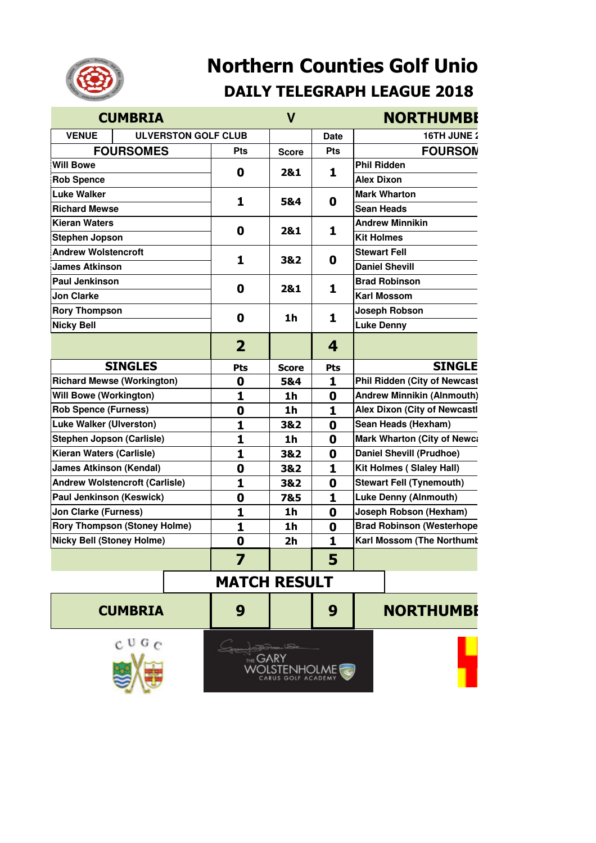

## **Northern Counties Golf Unio DAILY TELEGRAPH LEAGUE 2018**

|                                                                         | <b>CUMBRIA</b>             |                       | $\mathsf{V}$                     |                                  | <b>NORTHUMBI</b>                    |  |  |
|-------------------------------------------------------------------------|----------------------------|-----------------------|----------------------------------|----------------------------------|-------------------------------------|--|--|
| <b>VENUE</b>                                                            | <b>ULVERSTON GOLF CLUB</b> |                       |                                  | <b>Date</b>                      | 16TH JUNE 2                         |  |  |
|                                                                         | <b>FOURSOMES</b>           | <b>Pts</b>            | <b>Score</b>                     | <b>Pts</b>                       | <b>FOURSON</b>                      |  |  |
| <b>Will Bowe</b>                                                        |                            |                       |                                  |                                  | <b>Phil Ridden</b>                  |  |  |
| <b>Rob Spence</b>                                                       |                            | $\mathbf 0$           | 2&1                              | 1                                | <b>Alex Dixon</b>                   |  |  |
| <b>Luke Walker</b>                                                      |                            | 1                     | 5&4                              | 0                                | <b>Mark Wharton</b>                 |  |  |
| <b>Richard Mewse</b>                                                    |                            |                       |                                  |                                  | <b>Sean Heads</b>                   |  |  |
| <b>Kieran Waters</b>                                                    |                            | $\mathbf 0$           | 2&1                              | 1                                | <b>Andrew Minnikin</b>              |  |  |
| <b>Stephen Jopson</b>                                                   |                            |                       |                                  |                                  | <b>Kit Holmes</b>                   |  |  |
| <b>Andrew Wolstencroft</b>                                              |                            |                       | 3&2                              | 0                                | <b>Stewart Fell</b>                 |  |  |
| <b>James Atkinson</b>                                                   |                            | $\mathbf{1}$          |                                  |                                  | <b>Daniel Shevill</b>               |  |  |
| <b>Paul Jenkinson</b>                                                   |                            |                       |                                  | 1                                | <b>Brad Robinson</b>                |  |  |
| <b>Jon Clarke</b>                                                       |                            | $\mathbf 0$           | 2&1                              |                                  | <b>Karl Mossom</b>                  |  |  |
| <b>Rory Thompson</b>                                                    |                            |                       | 1h                               | 1                                | Joseph Robson                       |  |  |
| <b>Nicky Bell</b>                                                       |                            | $\mathbf 0$           |                                  |                                  | <b>Luke Denny</b>                   |  |  |
|                                                                         |                            | $\overline{2}$        |                                  | 4                                |                                     |  |  |
|                                                                         | <b>SINGLES</b>             |                       |                                  |                                  | <b>SINGLE</b>                       |  |  |
|                                                                         |                            | Pts<br>$\mathbf 0$    | <b>Score</b><br>5&4              | <b>Pts</b><br>1                  | <b>Phil Ridden (City of Newcast</b> |  |  |
| <b>Richard Mewse (Workington)</b><br><b>Will Bowe (Workington)</b>      |                            | 1                     |                                  |                                  | <b>Andrew Minnikin (Alnmouth)</b>   |  |  |
| <b>Rob Spence (Furness)</b>                                             |                            |                       | 1 <sub>h</sub><br>1 <sub>h</sub> | $\boldsymbol{0}$<br>$\mathbf{1}$ | <b>Alex Dixon (City of Newcastl</b> |  |  |
| <b>Luke Walker (Ulverston)</b>                                          |                            | $\boldsymbol{0}$<br>1 | 3&2                              | $\mathbf 0$                      | Sean Heads (Hexham)                 |  |  |
| <b>Stephen Jopson (Carlisle)</b>                                        |                            |                       | 1 <sub>h</sub>                   |                                  | <b>Mark Wharton (City of Newca</b>  |  |  |
| Kieran Waters (Carlisle)                                                |                            | 1<br>$\mathbf{1}$     | 3&2                              | 0<br>0                           | <b>Daniel Shevill (Prudhoe)</b>     |  |  |
| <b>James Atkinson (Kendal)</b>                                          |                            |                       |                                  | $\mathbf{1}$                     | <b>Kit Holmes (Slaley Hall)</b>     |  |  |
| <b>Andrew Wolstencroft (Carlisle)</b>                                   |                            | $\boldsymbol{0}$<br>1 | 3&2<br>3&2                       |                                  | <b>Stewart Fell (Tynemouth)</b>     |  |  |
|                                                                         |                            |                       | 7&5                              | 0<br>$\mathbf{1}$                | <b>Luke Denny (Alnmouth)</b>        |  |  |
| Paul Jenkinson (Keswick)                                                |                            | $\mathbf 0$           |                                  |                                  | Joseph Robson (Hexham)              |  |  |
| <b>Jon Clarke (Furness)</b>                                             |                            | 1                     | 1 <sub>h</sub>                   | 0                                | <b>Brad Robinson (Westerhope</b>    |  |  |
| <b>Rory Thompson (Stoney Holme)</b><br><b>Nicky Bell (Stoney Holme)</b> |                            | 1                     | 1h                               | 0                                | Karl Mossom (The Northumt           |  |  |
|                                                                         |                            | $\mathbf 0$<br>▼      | 2 <sub>h</sub>                   | $\mathbf{1}$<br>е                |                                     |  |  |
|                                                                         |                            |                       |                                  | Э                                |                                     |  |  |
| <b>MATCH RESULT</b>                                                     |                            |                       |                                  |                                  |                                     |  |  |
|                                                                         | <b>CUMBRIA</b>             | 9                     |                                  | 9                                | <b>NORTHUMBI</b>                    |  |  |
| $C$ U G $C$<br><b>GOLF ACADEMY</b>                                      |                            |                       |                                  |                                  |                                     |  |  |